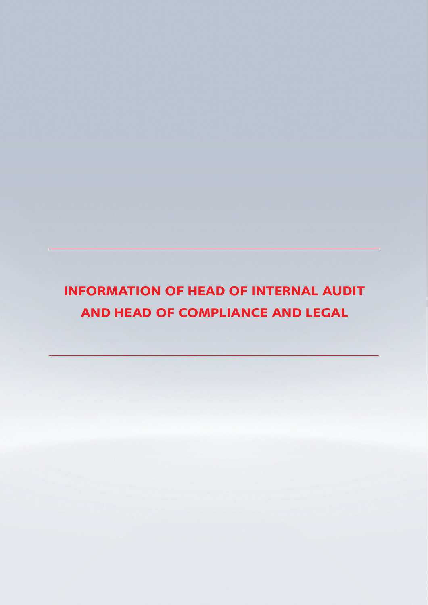# **INFORMATION OF HEAD OF INTERNAL AUDIT AND HEAD OF COMPLIANCE AND LEGAL**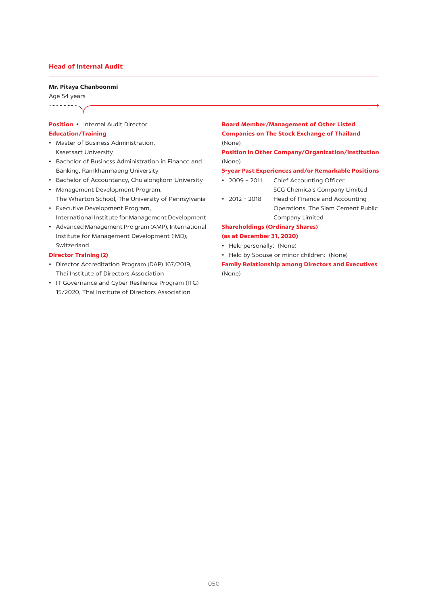## **Head of Internal Audit**

#### Mr. Pitaya Chanboonmi

Age 54 years ..................

## **Position** • Internal Audit Director

#### **Education/Training**

- Master of Business Administration, Kasetsart University
- Bachelor of Business Administration in Finance and Banking, Ramkhamhaeng University
- Bachelor of Accountancy, Chulalongkorn University
- Management Development Program, The Wharton School, The University of Pennsylvania
- Executive Development Program, International Institute for Management Development
- Advanced Management Pro gram (AMP), International Institute for Management Development (IMD), Switzerland

# **Director Training (2)**

- Director Accreditation Program (DAP) 167/2019, Thai Institute of Directors Association
- IT Governance and Cyber Resilience Program (ITG) 15/2020, Thai Institute of Directors Association

# **Board Member/Management of Other Listed Companies on The Stock Exchange of Thailand** (None)

**Position in Other Company/Organization/Institution** (None)

### 5-year Past Experiences and/or Remarkable Positions

- $\cdot$  2009 2011 Chief Accounting Officer, **SCG Chemicals Company Limited**
- $\cdot$  2012 2018 Head of Finance and Accounting Operations, The Siam Cement Public Company Limited

# **Shareholdings (Ordinary Shares)** (as at December 31, 2020)

- Held personally: (None)
- Held by Spouse or minor children: (None)

**Family Relationship among Directors and Executives** (None)